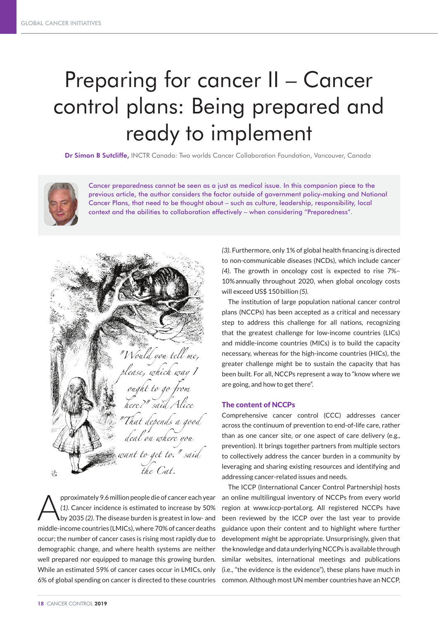## Preparing for cancer II – Cancer control plans: Being prepared and ready to implement

Dr Simon B Sutcliffe, INCTR Canada: Two worlds Cancer Collaboration Foundation, Vancouver, Canada



Cancer preparedness cannot be seen as a just as medical issue. In this companion piece to the previous article, the author considers the factor outside of government policy-making and National Cancer Plans, that need to be thought about – such as culture, leadership, responsibility, local context and the abilities to collaboration effectively – when considering "Preparedness".

"Would you tell me, rlease, which way T ought to go from here?" said Alice That depends a good deal on where you want to get to." said the Cat. 活

pproximately 9.6 million people die of cancer each year *(1)*. Cancer incidence is estimated to increase by 50% by 2035 *(2)*. The disease burden is greatest in low- and middle-income countries (LMICs), where 70% of cancer deaths occur; the number of cancer cases is rising most rapidly due to demographic change, and where health systems are neither well prepared nor equipped to manage this growing burden. While an estimated 59% of cancer cases occur in LMICs, only 6% of global spending on cancer is directed to these countries

*(3)*. Furthermore, only 1% of global health financing is directed to non-communicable diseases (NCDs), which include cancer *(4)*. The growth in oncology cost is expected to rise 7%– 10%annually throughout 2020, when global oncology costs will exceed US\$ 150billion *(5)*.

The institution of large population national cancer control plans (NCCPs) has been accepted as a critical and necessary step to address this challenge for all nations, recognizing that the greatest challenge for low-income countries (LICs) and middle-income countries (MICs) is to build the capacity necessary, whereas for the high-income countries (HICs), the greater challenge might be to sustain the capacity that has been built. For all, NCCPs represent a way to "know where we are going, and how to get there".

## The content of NCCPs

Comprehensive cancer control (CCC) addresses cancer across the continuum of prevention to end-of-life care, rather than as one cancer site, or one aspect of care delivery (e.g., prevention). It brings together partners from multiple sectors to collectively address the cancer burden in a community by leveraging and sharing existing resources and identifying and addressing cancer-related issues and needs.

The ICCP (International Cancer Control Partnership) hosts an online multilingual inventory of NCCPs from every world region at www.iccp-portal.org. All registered NCCPs have been reviewed by the ICCP over the last year to provide guidance upon their content and to highlight where further development might be appropriate. Unsurprisingly, given that the knowledge and data underlying NCCPs is available through similar websites, international meetings and publications (i.e., "the evidence is the evidence"), these plans have much in common. Although most UN member countries have an NCCP,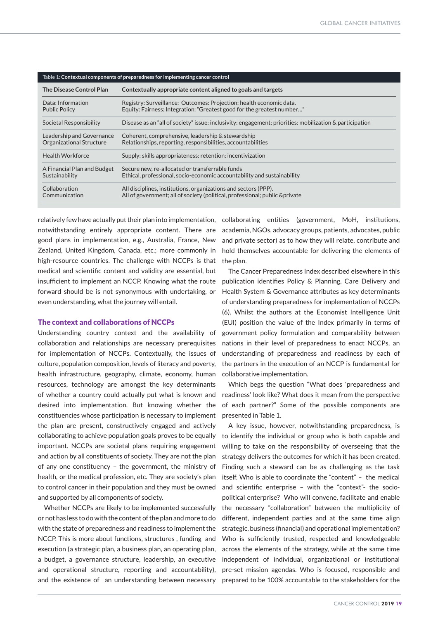| Table 1: Contextual components of preparedness for implementing cancer control |                                                                                                         |
|--------------------------------------------------------------------------------|---------------------------------------------------------------------------------------------------------|
| <b>The Disease Control Plan</b>                                                | Contextually appropriate content aligned to goals and targets                                           |
| Data: Information                                                              | Registry: Surveillance: Outcomes: Projection: health economic data.                                     |
| <b>Public Policy</b>                                                           | Equity: Fairness: Integration: "Greatest good for the greatest number"                                  |
| Societal Responsibility                                                        | Disease as an "all of society" issue: inclusivity: engagement: priorities: mobilization & participation |
| Leadership and Governance                                                      | Coherent, comprehensive, leadership & stewardship                                                       |
| Organizational Structure                                                       | Relationships, reporting, responsibilities, accountabilities                                            |
| <b>Health Workforce</b>                                                        | Supply: skills appropriateness: retention: incentivization                                              |
| A Financial Plan and Budget                                                    | Secure new, re-allocated or transferrable funds                                                         |
| Sustainability                                                                 | Ethical, professional, socio-economic accountability and sustainability                                 |
| Collaboration                                                                  | All disciplines, institutions, organizations and sectors (PPP).                                         |
| Communication                                                                  | All of government; all of society (political, professional; public &private                             |

notwithstanding entirely appropriate content. There are good plans in implementation, e.g., Australia, France, New Zealand, United Kingdom, Canada, etc.; more commonly in high-resource countries. The challenge with NCCPs is that medical and scientific content and validity are essential, but insufficient to implement an NCCP. Knowing what the route forward should be is not synonymous with undertaking, or even understanding, what the journey will entail.

## The context and collaborations of NCCPs

Understanding country context and the availability of collaboration and relationships are necessary prerequisites for implementation of NCCPs. Contextually, the issues of culture, population composition, levels of literacy and poverty, health infrastructure, geography, climate, economy, human resources, technology are amongst the key determinants of whether a country could actually put what is known and desired into implementation. But knowing whether the constituencies whose participation is necessary to implement the plan are present, constructively engaged and actively collaborating to achieve population goals proves to be equally important. NCCPs are societal plans requiring engagement and action by all constituents of society. They are not the plan of any one constituency – the government, the ministry of health, or the medical profession, etc. They are society's plan to control cancer in their population and they must be owned and supported by all components of society.

Whether NCCPs are likely to be implemented successfully or not has less to do with the content of the plan and more to do with the state of preparedness and readiness to implement the NCCP. This is more about functions, structures , funding and execution (a strategic plan, a business plan, an operating plan, a budget, a governance structure, leadership, an executive and operational structure, reporting and accountability), and the existence of an understanding between necessary

relatively few have actually put their plan into implementation, collaborating entities (government, MoH, institutions, academia, NGOs, advocacy groups, patients, advocates, public and private sector) as to how they will relate, contribute and hold themselves accountable for delivering the elements of the plan.

> The Cancer Preparedness Index described elsewhere in this publication identifies Policy & Planning, Care Delivery and Health System & Governance attributes as key determinants of understanding preparedness for implementation of NCCPs (6). Whilst the authors at the Economist Intelligence Unit (EUI) position the value of the Index primarily in terms of government policy formulation and comparability between nations in their level of preparedness to enact NCCPs, an understanding of preparedness and readiness by each of the partners in the execution of an NCCP is fundamental for collaborative implementation.

> Which begs the question "What does 'preparedness and readiness' look like? What does it mean from the perspective of each partner?" Some of the possible components are presented in Table 1.

> A key issue, however, notwithstanding preparedness, is to identify the individual or group who is both capable and willing to take on the responsibility of overseeing that the strategy delivers the outcomes for which it has been created. Finding such a steward can be as challenging as the task itself. Who is able to coordinate the "content" – the medical and scientific enterprise – with the "context"- the sociopolitical enterprise? Who will convene, facilitate and enable the necessary "collaboration" between the multiplicity of different, independent parties and at the same time align strategic, business (financial) and operational implementation? Who is sufficiently trusted, respected and knowledgeable across the elements of the strategy, while at the same time independent of individual, organizational or institutional pre-set mission agendas. Who is focused, responsible and prepared to be 100% accountable to the stakeholders for the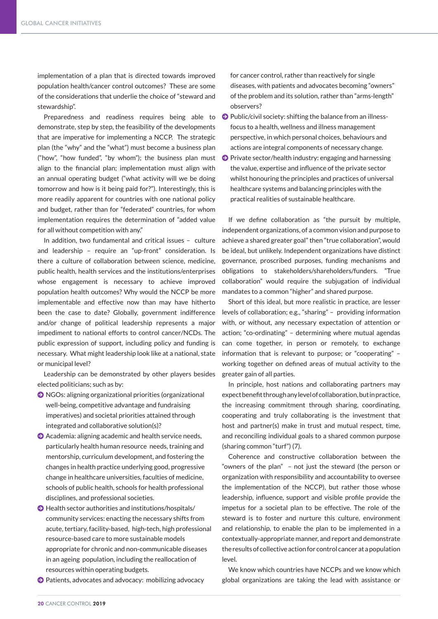implementation of a plan that is directed towards improved population health/cancer control outcomes? These are some of the considerations that underlie the choice of "steward and stewardship".

Preparedness and readiness requires being able to demonstrate, step by step, the feasibility of the developments that are imperative for implementing a NCCP. The strategic plan (the "why" and the "what") must become a business plan ("how", "how funded", "by whom"); the business plan must align to the financial plan; implementation must align with an annual operating budget ("what activity will we be doing tomorrow and how is it being paid for?"). Interestingly, this is more readily apparent for countries with one national policy and budget, rather than for "federated" countries, for whom implementation requires the determination of "added value for all without competition with any."

In addition, two fundamental and critical issues – culture and leadership – require an "up-front" consideration. Is there a culture of collaboration between science, medicine, public health, health services and the institutions/enterprises whose engagement is necessary to achieve improved population health outcomes? Why would the NCCP be more implementable and effective now than may have hitherto been the case to date? Globally, government indifference and/or change of political leadership represents a major impediment to national efforts to control cancer/NCDs. The public expression of support, including policy and funding is necessary. What might leadership look like at a national, state or municipal level?

Leadership can be demonstrated by other players besides elected politicians; such as by:

- J NGOs: aligning organizational priorities (organizational well-being, competitive advantage and fundraising imperatives) and societal priorities attained through integrated and collaborative solution(s)?
- $\bigcirc$  Academia: aligning academic and health service needs, particularly health human resource needs, training and mentorship, curriculum development, and fostering the changes in health practice underlying good, progressive change in healthcare universities, faculties of medicine, schools of public health, schools for health professional disciplines, and professional societies.
- $\Theta$  Health sector authorities and institutions/hospitals/ community services: enacting the necessary shifts from acute, tertiary, facility-based, high-tech, high professional resource-based care to more sustainable models appropriate for chronic and non-communicable diseases in an ageing population, including the reallocation of resources within operating budgets.
- J Patients, advocates and advocacy: mobilizing advocacy

for cancer control, rather than reactively for single diseases, with patients and advocates becoming "owners" of the problem and its solution, rather than "arms-length" observers?

- $\bigodot$  Public/civil society: shifting the balance from an illnessfocus to a health, wellness and illness management perspective, in which personal choices, behaviours and actions are integral components of necessary change.
- $\bullet$  Private sector/health industry: engaging and harnessing the value, expertise and influence of the private sector whilst honouring the principles and practices of universal healthcare systems and balancing principles with the practical realities of sustainable healthcare.

If we define collaboration as "the pursuit by multiple, independent organizations, of a common vision and purpose to achieve a shared greater goal" then "true collaboration", would be ideal, but unlikely. Independent organizations have distinct governance, proscribed purposes, funding mechanisms and obligations to stakeholders/shareholders/funders. "True collaboration" would require the subjugation of individual mandates to a common "higher" and shared purpose.

Short of this ideal, but more realistic in practice, are lesser levels of collaboration; e.g., "sharing" – providing information with, or without, any necessary expectation of attention or action; "co-ordinating" – determining where mutual agendas can come together, in person or remotely, to exchange information that is relevant to purpose; or "cooperating" – working together on defined areas of mutual activity to the greater gain of all parties.

In principle, host nations and collaborating partners may expect benefit through any level of collaboration, but in practice, the increasing commitment through sharing, coordinating, cooperating and truly collaborating is the investment that host and partner(s) make in trust and mutual respect, time, and reconciling individual goals to a shared common purpose (sharing common "turf") (7).

Coherence and constructive collaboration between the "owners of the plan" – not just the steward (the person or organization with responsibility and accountability to oversee the implementation of the NCCP), but rather those whose leadership, influence, support and visible profile provide the impetus for a societal plan to be effective. The role of the steward is to foster and nurture this culture, environment and relationship, to enable the plan to be implemented in a contextually-appropriate manner, and report and demonstrate the results of collective action for control cancer at a population level.

We know which countries have NCCPs and we know which global organizations are taking the lead with assistance or